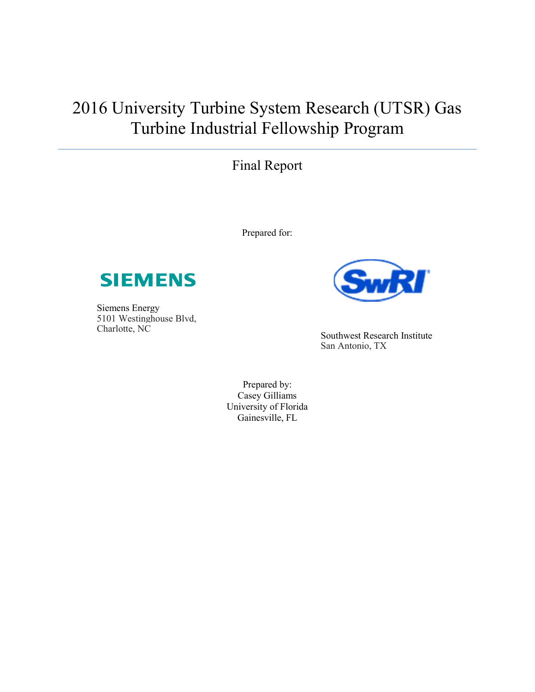# 2016 University Turbine System Research (UTSR) Gas Turbine Industrial Fellowship Program

# Final Report

Prepared for:



Siemens Energy 5101 Westinghouse Blvd, Charlotte, NC



Southwest Research Institute San Antonio, TX

Prepared by: Casey Gilliams University of Florida Gainesville, FL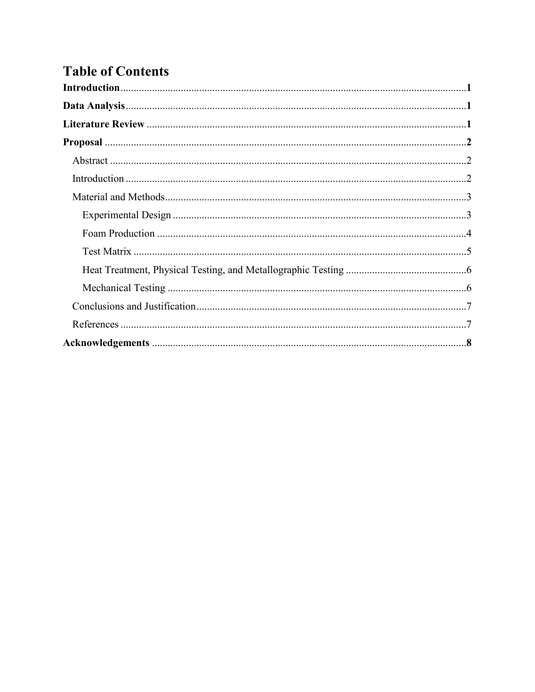# **Table of Contents**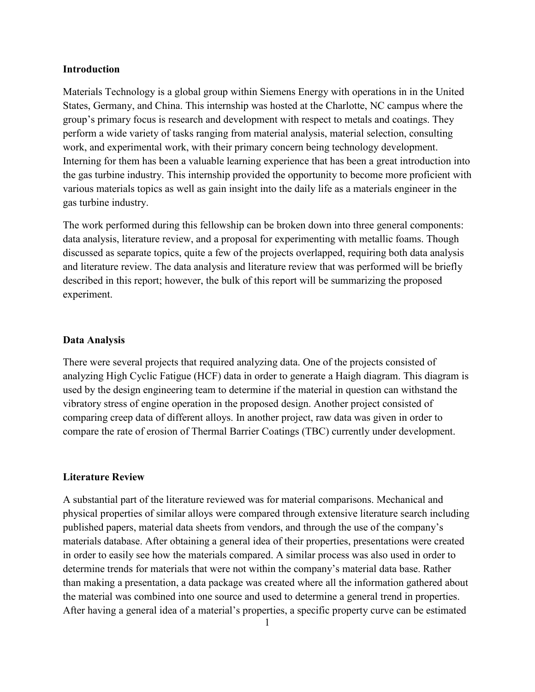# **Introduction**

Materials Technology is a global group within Siemens Energy with operations in in the United States, Germany, and China. This internship was hosted at the Charlotte, NC campus where the group's primary focus is research and development with respect to metals and coatings. They perform a wide variety of tasks ranging from material analysis, material selection, consulting work, and experimental work, with their primary concern being technology development. Interning for them has been a valuable learning experience that has been a great introduction into the gas turbine industry. This internship provided the opportunity to become more proficient with various materials topics as well as gain insight into the daily life as a materials engineer in the gas turbine industry.

The work performed during this fellowship can be broken down into three general components: data analysis, literature review, and a proposal for experimenting with metallic foams. Though discussed as separate topics, quite a few of the projects overlapped, requiring both data analysis and literature review. The data analysis and literature review that was performed will be briefly described in this report; however, the bulk of this report will be summarizing the proposed experiment.

# **Data Analysis**

There were several projects that required analyzing data. One of the projects consisted of analyzing High Cyclic Fatigue (HCF) data in order to generate a Haigh diagram. This diagram is used by the design engineering team to determine if the material in question can withstand the vibratory stress of engine operation in the proposed design. Another project consisted of comparing creep data of different alloys. In another project, raw data was given in order to compare the rate of erosion of Thermal Barrier Coatings (TBC) currently under development.

# **Literature Review**

A substantial part of the literature reviewed was for material comparisons. Mechanical and physical properties of similar alloys were compared through extensive literature search including published papers, material data sheets from vendors, and through the use of the company's materials database. After obtaining a general idea of their properties, presentations were created in order to easily see how the materials compared. A similar process was also used in order to determine trends for materials that were not within the company's material data base. Rather than making a presentation, a data package was created where all the information gathered about the material was combined into one source and used to determine a general trend in properties. After having a general idea of a material's properties, a specific property curve can be estimated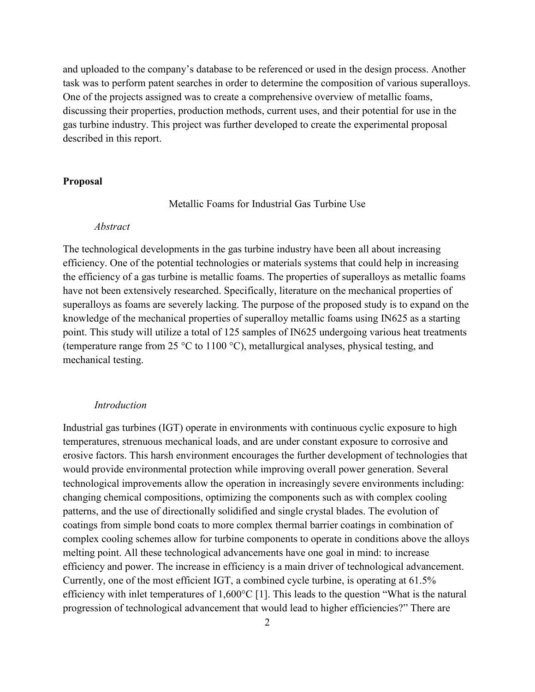and uploaded to the company's database to be referenced or used in the design process. Another task was to perform patent searches in order to determine the composition of various superalloys. One of the projects assigned was to create a comprehensive overview of metallic foams, discussing their properties, production methods, current uses, and their potential for use in the gas turbine industry. This project was further developed to create the experimental proposal described in this report.

#### **Proposal**

Metallic Foams for Industrial Gas Turbine Use

# *Abstract*

The technological developments in the gas turbine industry have been all about increasing efficiency. One of the potential technologies or materials systems that could help in increasing the efficiency of a gas turbine is metallic foams. The properties of superalloys as metallic foams have not been extensively researched. Specifically, literature on the mechanical properties of superalloys as foams are severely lacking. The purpose of the proposed study is to expand on the knowledge of the mechanical properties of superalloy metallic foams using IN625 as a starting point. This study will utilize a total of 125 samples of IN625 undergoing various heat treatments (temperature range from 25 °C to 1100 °C), metallurgical analyses, physical testing, and mechanical testing.

#### *Introduction*

Industrial gas turbines (IGT) operate in environments with continuous cyclic exposure to high temperatures, strenuous mechanical loads, and are under constant exposure to corrosive and erosive factors. This harsh environment encourages the further development of technologies that would provide environmental protection while improving overall power generation. Several technological improvements allow the operation in increasingly severe environments including: changing chemical compositions, optimizing the components such as with complex cooling patterns, and the use of directionally solidified and single crystal blades. The evolution of coatings from simple bond coats to more complex thermal barrier coatings in combination of complex cooling schemes allow for turbine components to operate in conditions above the alloys melting point. All these technological advancements have one goal in mind: to increase efficiency and power. The increase in efficiency is a main driver of technological advancement. Currently, one of the most efficient IGT, a combined cycle turbine, is operating at 61.5% efficiency with inlet temperatures of 1,600°C [1]. This leads to the question "What is the natural progression of technological advancement that would lead to higher efficiencies?" There are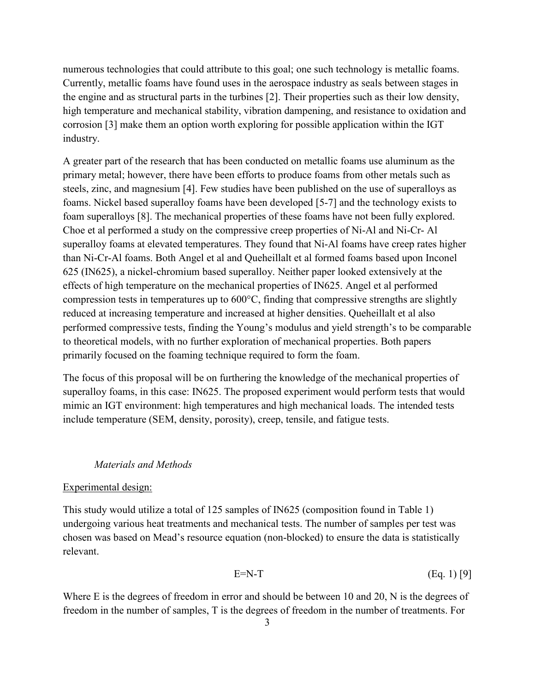numerous technologies that could attribute to this goal; one such technology is metallic foams. Currently, metallic foams have found uses in the aerospace industry as seals between stages in the engine and as structural parts in the turbines [2]. Their properties such as their low density, high temperature and mechanical stability, vibration dampening, and resistance to oxidation and corrosion [3] make them an option worth exploring for possible application within the IGT industry.

A greater part of the research that has been conducted on metallic foams use aluminum as the primary metal; however, there have been efforts to produce foams from other metals such as steels, zinc, and magnesium [4]. Few studies have been published on the use of superalloys as foams. Nickel based superalloy foams have been developed [5-7] and the technology exists to foam superalloys [8]. The mechanical properties of these foams have not been fully explored. Choe et al performed a study on the compressive creep properties of Ni-Al and Ni-Cr- Al superalloy foams at elevated temperatures. They found that Ni-Al foams have creep rates higher than Ni-Cr-Al foams. Both Angel et al and Queheillalt et al formed foams based upon Inconel 625 (IN625), a nickel-chromium based superalloy. Neither paper looked extensively at the effects of high temperature on the mechanical properties of IN625. Angel et al performed compression tests in temperatures up to 600°C, finding that compressive strengths are slightly reduced at increasing temperature and increased at higher densities. Queheillalt et al also performed compressive tests, finding the Young's modulus and yield strength's to be comparable to theoretical models, with no further exploration of mechanical properties. Both papers primarily focused on the foaming technique required to form the foam.

The focus of this proposal will be on furthering the knowledge of the mechanical properties of superalloy foams, in this case: IN625. The proposed experiment would perform tests that would mimic an IGT environment: high temperatures and high mechanical loads. The intended tests include temperature (SEM, density, porosity), creep, tensile, and fatigue tests.

# *Materials and Methods*

### Experimental design:

This study would utilize a total of 125 samples of IN625 (composition found in Table 1) undergoing various heat treatments and mechanical tests. The number of samples per test was chosen was based on Mead's resource equation (non-blocked) to ensure the data is statistically relevant.

$$
E=N-T
$$
 (Eq. 1) [9]

Where E is the degrees of freedom in error and should be between 10 and 20, N is the degrees of freedom in the number of samples, T is the degrees of freedom in the number of treatments. For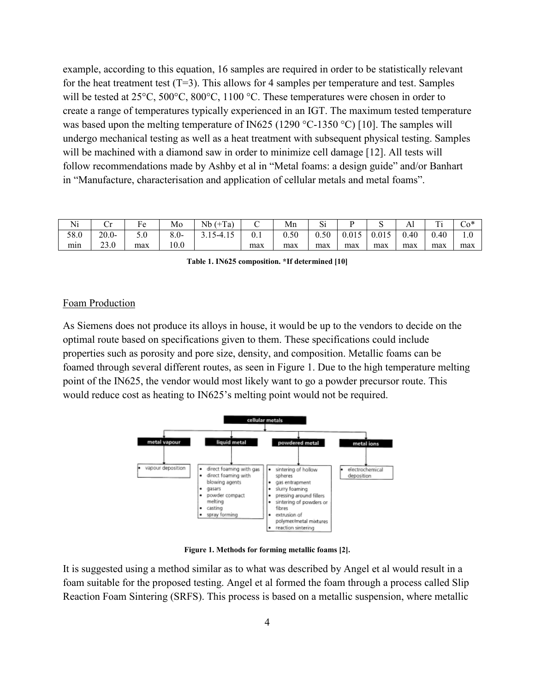example, according to this equation, 16 samples are required in order to be statistically relevant for the heat treatment test  $(T=3)$ . This allows for 4 samples per temperature and test. Samples will be tested at 25<sup>o</sup>C, 500<sup>o</sup>C, 800<sup>o</sup>C, 1100<sup>o</sup>C. These temperatures were chosen in order to create a range of temperatures typically experienced in an IGT. The maximum tested temperature was based upon the melting temperature of IN625 (1290 °C-1350 °C) [10]. The samples will undergo mechanical testing as well as a heat treatment with subsequent physical testing. Samples will be machined with a diamond saw in order to minimize cell damage [12]. All tests will follow recommendations made by Ashby et al in "Metal foams: a design guide" and/or Banhart in "Manufacture, characterisation and application of cellular metals and metal foams".

| Ni   | ◡             | Ð   | Mo   | Ta)<br>Nb<br>.<br>+ |     | Mn   | $\sim$<br>ΩI |       |       | Al   | m.<br>. . | $\sim$<br>$\sim 0^*$ |
|------|---------------|-----|------|---------------------|-----|------|--------------|-------|-------|------|-----------|----------------------|
| 58.0 | $20.0-$       | 5.0 | 8.0- | $\sim$<br>-<br>$-4$ | ∪.⊥ | 0.50 | 0.50         | 0.015 | 0.015 | 0.40 | 0.40      | 1.U                  |
| mın  | 22 O<br>2.0.0 | max | 10.0 |                     | max | max  | max          | max   | max   | max  | max       | max                  |

**Table 1. IN625 composition. \*If determined [10]**

### Foam Production

As Siemens does not produce its alloys in house, it would be up to the vendors to decide on the optimal route based on specifications given to them. These specifications could include properties such as porosity and pore size, density, and composition. Metallic foams can be foamed through several different routes, as seen in Figure 1. Due to the high temperature melting point of the IN625, the vendor would most likely want to go a powder precursor route. This would reduce cost as heating to IN625's melting point would not be required.



**Figure 1. Methods for forming metallic foams [2].**

It is suggested using a method similar as to what was described by Angel et al would result in a foam suitable for the proposed testing. Angel et al formed the foam through a process called Slip Reaction Foam Sintering (SRFS). This process is based on a metallic suspension, where metallic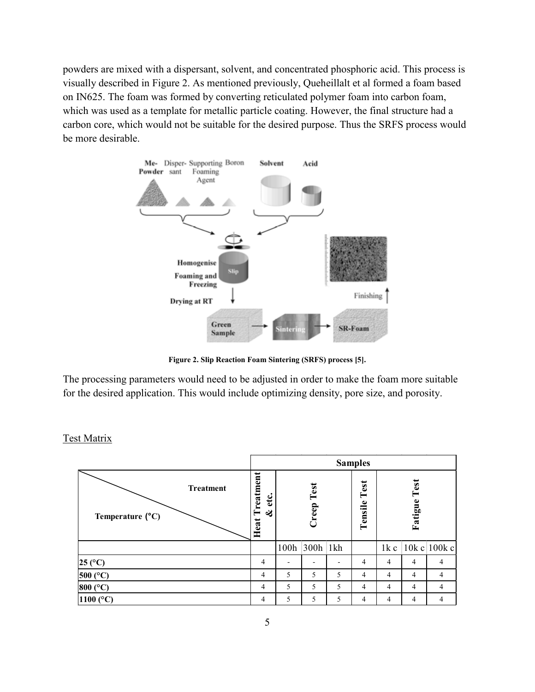powders are mixed with a dispersant, solvent, and concentrated phosphoric acid. This process is visually described in Figure 2. As mentioned previously, Queheillalt et al formed a foam based on IN625. The foam was formed by converting reticulated polymer foam into carbon foam, which was used as a template for metallic particle coating. However, the final structure had a carbon core, which would not be suitable for the desired purpose. Thus the SRFS process would be more desirable.



**Figure 2. Slip Reaction Foam Sintering (SRFS) process [5].**

The processing parameters would need to be adjusted in order to make the foam more suitable for the desired application. This would include optimizing density, pore size, and porosity.

**Heat Treatment & etc. Tensile Test** 100h 300h 1kh | 1k c | 10k c | 100k c **25 (°C)** 4 - - 4 4 4 4 **500 (°C)** 4 5 5 5 4 4 4 4 **800 (°C)** 4 5 5 5 4 4 4 4 **1100 (°C)**<br> **1100 (°C)**<br> **1100 (°C)**<br> **1100 (°C)**<br> **1100 (°C)**<br> **1100 (°C)**<br> **1100 (°C)**<br> **1100 (°C)**<br> **1100 (°C)**<br> **1100 (°C)**<br> **1100 (°C)**<br> **1100 (°C)**<br> **1100 (°C)**<br> **1100 (°C)**<br> **1100 (°C)**<br> **1100 (°C)**<br> **1100 (°C)**<br> **Samples Fatigue Test Treatment Temperature (°C)**

#### Test Matrix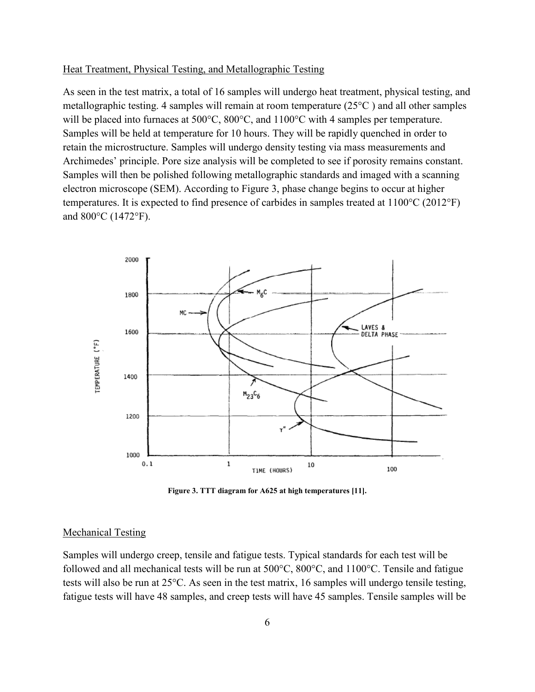### Heat Treatment, Physical Testing, and Metallographic Testing

As seen in the test matrix, a total of 16 samples will undergo heat treatment, physical testing, and metallographic testing. 4 samples will remain at room temperature (25°C ) and all other samples will be placed into furnaces at 500°C, 800°C, and 1100°C with 4 samples per temperature. Samples will be held at temperature for 10 hours. They will be rapidly quenched in order to retain the microstructure. Samples will undergo density testing via mass measurements and Archimedes' principle. Pore size analysis will be completed to see if porosity remains constant. Samples will then be polished following metallographic standards and imaged with a scanning electron microscope (SEM). According to Figure 3, phase change begins to occur at higher temperatures. It is expected to find presence of carbides in samples treated at 1100°C (2012°F) and 800°C (1472°F).



**Figure 3. TTT diagram for A625 at high temperatures [11].**

# Mechanical Testing

Samples will undergo creep, tensile and fatigue tests. Typical standards for each test will be followed and all mechanical tests will be run at 500°C, 800°C, and 1100°C. Tensile and fatigue tests will also be run at 25°C. As seen in the test matrix, 16 samples will undergo tensile testing, fatigue tests will have 48 samples, and creep tests will have 45 samples. Tensile samples will be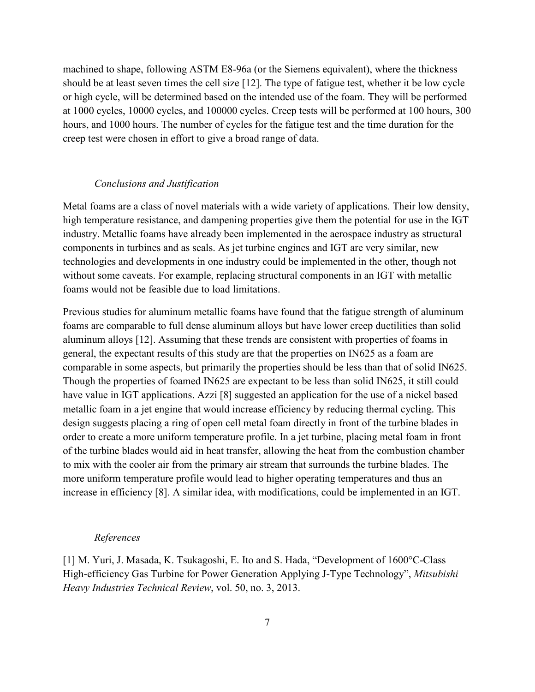machined to shape, following ASTM E8-96a (or the Siemens equivalent), where the thickness should be at least seven times the cell size [12]. The type of fatigue test, whether it be low cycle or high cycle, will be determined based on the intended use of the foam. They will be performed at 1000 cycles, 10000 cycles, and 100000 cycles. Creep tests will be performed at 100 hours, 300 hours, and 1000 hours. The number of cycles for the fatigue test and the time duration for the creep test were chosen in effort to give a broad range of data.

# *Conclusions and Justification*

Metal foams are a class of novel materials with a wide variety of applications. Their low density, high temperature resistance, and dampening properties give them the potential for use in the IGT industry. Metallic foams have already been implemented in the aerospace industry as structural components in turbines and as seals. As jet turbine engines and IGT are very similar, new technologies and developments in one industry could be implemented in the other, though not without some caveats. For example, replacing structural components in an IGT with metallic foams would not be feasible due to load limitations.

Previous studies for aluminum metallic foams have found that the fatigue strength of aluminum foams are comparable to full dense aluminum alloys but have lower creep ductilities than solid aluminum alloys [12]. Assuming that these trends are consistent with properties of foams in general, the expectant results of this study are that the properties on IN625 as a foam are comparable in some aspects, but primarily the properties should be less than that of solid IN625. Though the properties of foamed IN625 are expectant to be less than solid IN625, it still could have value in IGT applications. Azzi [8] suggested an application for the use of a nickel based metallic foam in a jet engine that would increase efficiency by reducing thermal cycling. This design suggests placing a ring of open cell metal foam directly in front of the turbine blades in order to create a more uniform temperature profile. In a jet turbine, placing metal foam in front of the turbine blades would aid in heat transfer, allowing the heat from the combustion chamber to mix with the cooler air from the primary air stream that surrounds the turbine blades. The more uniform temperature profile would lead to higher operating temperatures and thus an increase in efficiency [8]. A similar idea, with modifications, could be implemented in an IGT.

#### *References*

[1] M. Yuri, J. Masada, K. Tsukagoshi, E. Ito and S. Hada, "Development of 1600°C-Class High-efficiency Gas Turbine for Power Generation Applying J-Type Technology", *Mitsubishi Heavy Industries Technical Review*, vol. 50, no. 3, 2013.